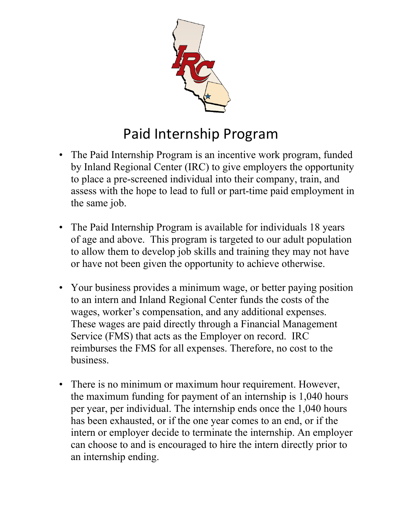

## Paid Internship Program

- The Paid Internship Program is an incentive work program, funded by Inland Regional Center (IRC) to give employers the opportunity to place a pre-screened individual into their company, train, and assess with the hope to lead to full or part-time paid employment in the same job.
- The Paid Internship Program is available for individuals 18 years of age and above. This program is targeted to our adult population to allow them to develop job skills and training they may not have or have not been given the opportunity to achieve otherwise.
- Your business provides a minimum wage, or better paying position to an intern and Inland Regional Center funds the costs of the wages, worker's compensation, and any additional expenses. These wages are paid directly through a Financial Management Service (FMS) that acts as the Employer on record. IRC reimburses the FMS for all expenses. Therefore, no cost to the business.
- There is no minimum or maximum hour requirement. However, the maximum funding for payment of an internship is 1,040 hours per year, per individual. The internship ends once the 1,040 hours has been exhausted, or if the one year comes to an end, or if the intern or employer decide to terminate the internship. An employer can choose to and is encouraged to hire the intern directly prior to an internship ending.